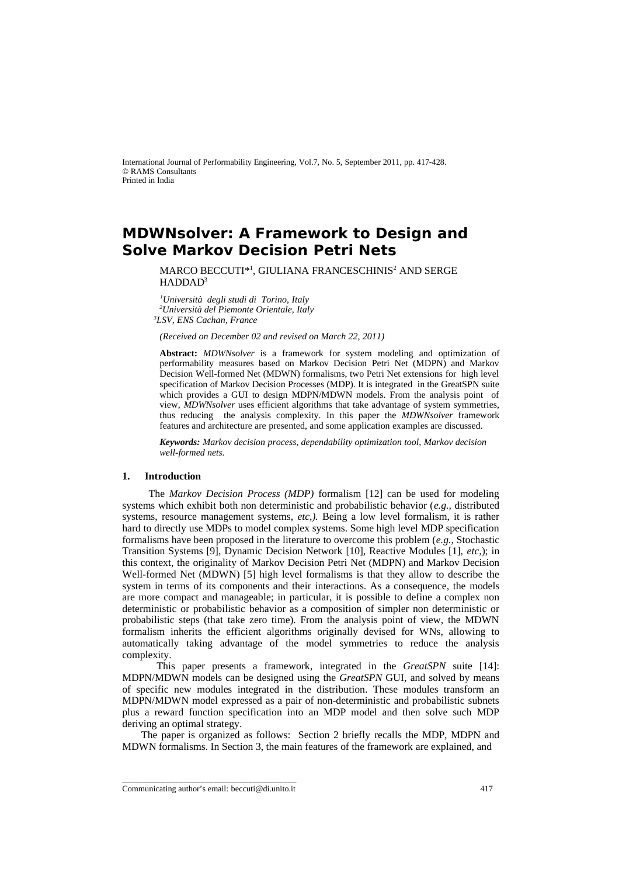International Journal of Performability Engineering, Vol.7, No. 5, September 2011, pp. 417-428. © RAMS Consultants Printed in India

# **MDWNsolver: A Framework to Design and Solve Markov Decision Petri Nets**

MARCO BECCUTI\*<sup>1</sup> , GIULIANA FRANCESCHINIS<sup>2</sup>AND SERGE HADDAD<sup>3</sup>

*<sup>1</sup>Università degli studi di Torino, Italy <sup>2</sup>Università del Piemonte Orientale, Italy <sup>3</sup>LSV, ENS Cachan, France*

*(Received on December 02 and revised on March 22, 2011)*

**Abstract:** *MDWNsolver* is a framework for system modeling and optimization of performability measures based on Markov Decision Petri Net (MDPN) and Markov Decision Well-formed Net (MDWN) formalisms, two Petri Net extensions for high level specification of Markov Decision Processes (MDP). It is integrated in the GreatSPN suite which provides a GUI to design MDPN/MDWN models. From the analysis point of view, *MDWNsolver* uses efficient algorithms that take advantage of system symmetries, thus reducing the analysis complexity. In this paper the *MDWNsolver* framework features and architecture are presented, and some application examples are discussed.

*Keywords: Markov decision process, dependability optimization tool, Markov decision well-formed nets.*

# **1. Introduction**

 The *Markov Decision Process (MDP)* formalism [12] can be used for modeling systems which exhibit both non deterministic and probabilistic behavior (*e.g.,* distributed systems, resource management systems, *etc,).* Being a low level formalism, it is rather hard to directly use MDPs to model complex systems. Some high level MDP specification formalisms have been proposed in the literature to overcome this problem (*e.g.,* Stochastic Transition Systems [9], Dynamic Decision Network [10], Reactive Modules [1], *etc,*); in this context, the originality of Markov Decision Petri Net (MDPN) and Markov Decision Well-formed Net (MDWN) [5] high level formalisms is that they allow to describe the system in terms of its components and their interactions. As a consequence, the models are more compact and manageable; in particular, it is possible to define a complex non deterministic or probabilistic behavior as a composition of simpler non deterministic or probabilistic steps (that take zero time). From the analysis point of view, the MDWN formalism inherits the efficient algorithms originally devised for WNs, allowing to automatically taking advantage of the model symmetries to reduce the analysis complexity.

 This paper presents a framework*,* integrated in the *GreatSPN* suite [14]: MDPN/MDWN models can be designed using the *GreatSPN* GUI, and solved by means of specific new modules integrated in the distribution. These modules transform an MDPN/MDWN model expressed as a pair of non-deterministic and probabilistic subnets plus a reward function specification into an MDP model and then solve such MDP deriving an optimal strategy.

 The paper is organized as follows: Section 2 briefly recalls the MDP, MDPN and MDWN formalisms. In Section 3, the main features of the framework are explained, and

\_\_\_\_\_\_\_\_\_\_\_\_\_\_\_\_\_\_\_\_\_\_\_\_\_\_\_\_\_\_\_\_\_\_\_\_\_\_\_\_ Communicating author's email: beccuti@di.unito.it 417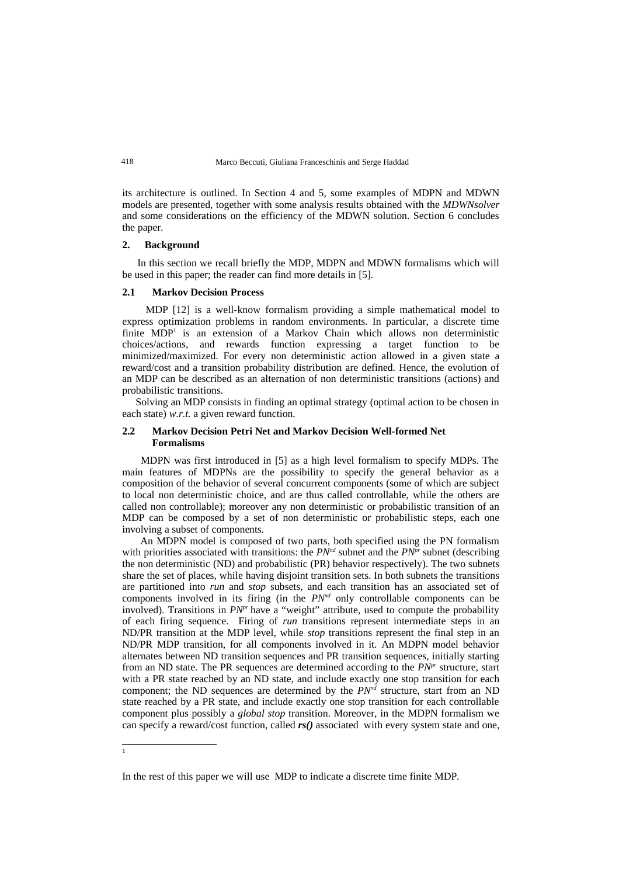its architecture is outlined. In Section 4 and 5, some examples of MDPN and MDWN models are presented, together with some analysis results obtained with the *MDWNsolver* and some considerations on the efficiency of the MDWN solution. Section 6 concludes the paper.

# **2. Background**

 In this section we recall briefly the MDP, MDPN and MDWN formalisms which will be used in this paper; the reader can find more details in [5].

#### **2.1 Markov Decision Process**

 MDP [12] is a well-know formalism providing a simple mathematical model to express optimization problems in random environments. In particular, a discrete time finite MDP<sup>[1](#page-1-0)</sup> is an extension of a Markov Chain which allows non deterministic choices/actions, and rewards function expressing a target function to be minimized/maximized. For every non deterministic action allowed in a given state a reward/cost and a transition probability distribution are defined. Hence, the evolution of an MDP can be described as an alternation of non deterministic transitions (actions) and probabilistic transitions.

 Solving an MDP consists in finding an optimal strategy (optimal action to be chosen in each state) *w.r.t.* a given reward function.

## **2.2 Markov Decision Petri Net and Markov Decision Well-formed Net Formalisms**

 MDPN was first introduced in [5] as a high level formalism to specify MDPs. The main features of MDPNs are the possibility to specify the general behavior as a composition of the behavior of several concurrent components (some of which are subject to local non deterministic choice, and are thus called controllable, while the others are called non controllable); moreover any non deterministic or probabilistic transition of an MDP can be composed by a set of non deterministic or probabilistic steps, each one involving a subset of components.

 An MDPN model is composed of two parts, both specified using the PN formalism with priorities associated with transitions: the  $PN<sup>nd</sup>$  subnet and the  $PN<sup>pr</sup>$  subnet (describing the non deterministic (ND) and probabilistic (PR) behavior respectively). The two subnets share the set of places, while having disjoint transition sets. In both subnets the transitions are partitioned into *run* and *stop* subsets, and each transition has an associated set of components involved in its firing (in the *PNnd* only controllable components can be involved). Transitions in *PN<sup>pr</sup>* have a "weight" attribute, used to compute the probability of each firing sequence. Firing of *run* transitions represent intermediate steps in an ND/PR transition at the MDP level, while *stop* transitions represent the final step in an ND/PR MDP transition, for all components involved in it. An MDPN model behavior alternates between ND transition sequences and PR transition sequences, initially starting from an ND state. The PR sequences are determined according to the *PNpr* structure, start with a PR state reached by an ND state, and include exactly one stop transition for each component; the ND sequences are determined by the *PNnd* structure, start from an ND state reached by a PR state, and include exactly one stop transition for each controllable component plus possibly a *global stop* transition. Moreover, in the MDPN formalism we can specify a reward/cost function, called *rs()* associated with every system state and one,

418

<span id="page-1-0"></span><sup>1</sup>

In the rest of this paper we will use MDP to indicate a discrete time finite MDP.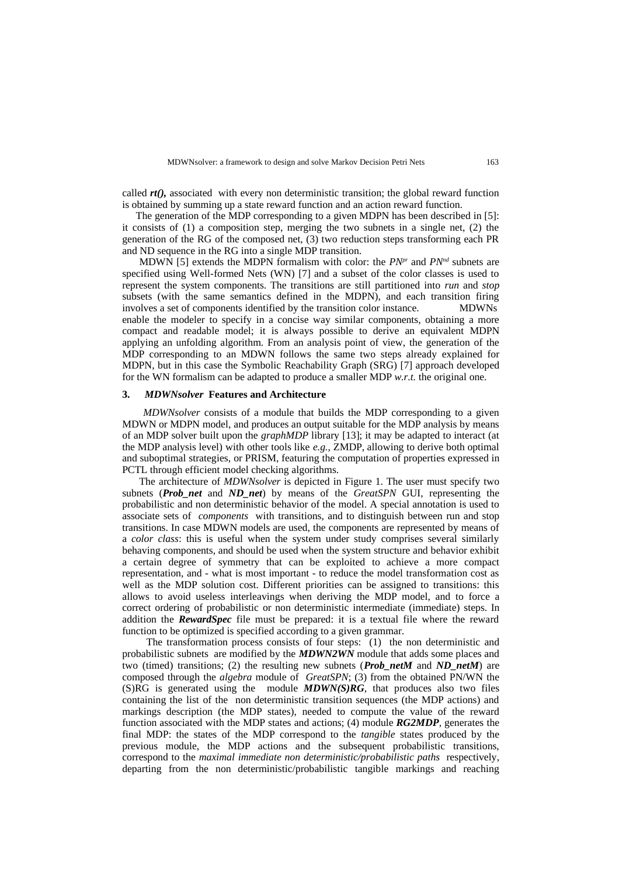called *rt()*, associated with every non deterministic transition; the global reward function is obtained by summing up a state reward function and an action reward function.

 The generation of the MDP corresponding to a given MDPN has been described in [5]: it consists of (1) a composition step, merging the two subnets in a single net, (2) the generation of the RG of the composed net, (3) two reduction steps transforming each PR and ND sequence in the RG into a single MDP transition.

 MDWN [5] extends the MDPN formalism with color: the *PNpr* and *PNnd* subnets are specified using Well-formed Nets (WN) [7] and a subset of the color classes is used to represent the system components. The transitions are still partitioned into *run* and *stop* subsets (with the same semantics defined in the MDPN), and each transition firing involves a set of components identified by the transition color instance. MDWNs enable the modeler to specify in a concise way similar components, obtaining a more compact and readable model; it is always possible to derive an equivalent MDPN applying an unfolding algorithm. From an analysis point of view, the generation of the MDP corresponding to an MDWN follows the same two steps already explained for MDPN, but in this case the Symbolic Reachability Graph (SRG) [7] approach developed for the WN formalism can be adapted to produce a smaller MDP *w.r.t.* the original one.

#### **3.** *MDWNsolver* **Features and Architecture**

 *MDWNsolver* consists of a module that builds the MDP corresponding to a given MDWN or MDPN model, and produces an output suitable for the MDP analysis by means of an MDP solver built upon the *graphMDP* library [13]; it may be adapted to interact (at the MDP analysis level) with other tools like *e.g.,* ZMDP, allowing to derive both optimal and suboptimal strategies, or PRISM, featuring the computation of properties expressed in PCTL through efficient model checking algorithms.

 The architecture of *MDWNsolver* is depicted in [Figure 1.](#page-3-0) The user must specify two subnets (*Prob\_net* and *ND\_net*) by means of the *GreatSPN* GUI, representing the probabilistic and non deterministic behavior of the model. A special annotation is used to associate sets of *components* with transitions, and to distinguish between run and stop transitions. In case MDWN models are used, the components are represented by means of a *color class*: this is useful when the system under study comprises several similarly behaving components, and should be used when the system structure and behavior exhibit a certain degree of symmetry that can be exploited to achieve a more compact representation, and - what is most important - to reduce the model transformation cost as well as the MDP solution cost. Different priorities can be assigned to transitions: this allows to avoid useless interleavings when deriving the MDP model, and to force a correct ordering of probabilistic or non deterministic intermediate (immediate) steps. In addition the *RewardSpec* file must be prepared: it is a textual file where the reward function to be optimized is specified according to a given grammar.

 The transformation process consists of four steps: (1) the non deterministic and probabilistic subnets are modified by the *MDWN2WN* module that adds some places and two (timed) transitions; (2) the resulting new subnets (*Prob\_netM* and *ND\_netM*) are composed through the *algebra* module of *GreatSPN*; (3) from the obtained PN/WN the (S)RG is generated using the module *MDWN(S)RG*, that produces also two files containing the list of the non deterministic transition sequences (the MDP actions) and markings description (the MDP states), needed to compute the value of the reward function associated with the MDP states and actions; (4) module *RG2MDP,* generates the final MDP: the states of the MDP correspond to the *tangible* states produced by the previous module, the MDP actions and the subsequent probabilistic transitions, correspond to the *maximal immediate non deterministic/probabilistic paths* respectively, departing from the non deterministic/probabilistic tangible markings and reaching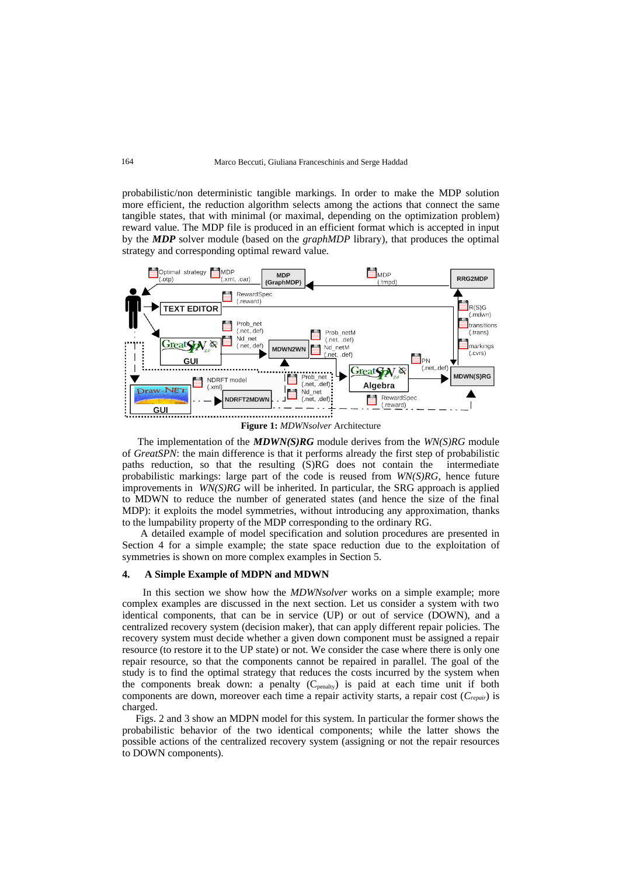probabilistic/non deterministic tangible markings. In order to make the MDP solution more efficient, the reduction algorithm selects among the actions that connect the same tangible states, that with minimal (or maximal, depending on the optimization problem) reward value. The MDP file is produced in an efficient format which is accepted in input by the *MDP* solver module (based on the *graphMDP* library), that produces the optimal strategy and corresponding optimal reward value.



<span id="page-3-0"></span>**Figure 1:** *MDWNsolver* Architecture

 The implementation of the *MDWN(S)RG* module derives from the *WN(S)RG* module of *GreatSPN*: the main difference is that it performs already the first step of probabilistic paths reduction, so that the resulting (S)RG does not contain the intermediate probabilistic markings: large part of the code is reused from *WN(S)RG*, hence future improvements in *WN(S)RG* will be inherited. In particular, the SRG approach is applied to MDWN to reduce the number of generated states (and hence the size of the final MDP): it exploits the model symmetries, without introducing any approximation, thanks to the lumpability property of the MDP corresponding to the ordinary RG.

 A detailed example of model specification and solution procedures are presented in Section 4 for a simple example; the state space reduction due to the exploitation of symmetries is shown on more complex examples in Section 5.

#### **4. A Simple Example of MDPN and MDWN**

 In this section we show how the *MDWNsolver* works on a simple example; more complex examples are discussed in the next section. Let us consider a system with two identical components, that can be in service (UP) or out of service (DOWN), and a centralized recovery system (decision maker), that can apply different repair policies. The recovery system must decide whether a given down component must be assigned a repair resource (to restore it to the UP state) or not. We consider the case where there is only one repair resource, so that the components cannot be repaired in parallel. The goal of the study is to find the optimal strategy that reduces the costs incurred by the system when the components break down: a penalty  $(C_{\text{penalty}})$  is paid at each time unit if both components are down, moreover each time a repair activity starts, a repair cost (*Crepair*) is charged.

 Figs. 2 and 3 show an MDPN model for this system. In particular the former shows the probabilistic behavior of the two identical components; while the latter shows the possible actions of the centralized recovery system (assigning or not the repair resources to DOWN components).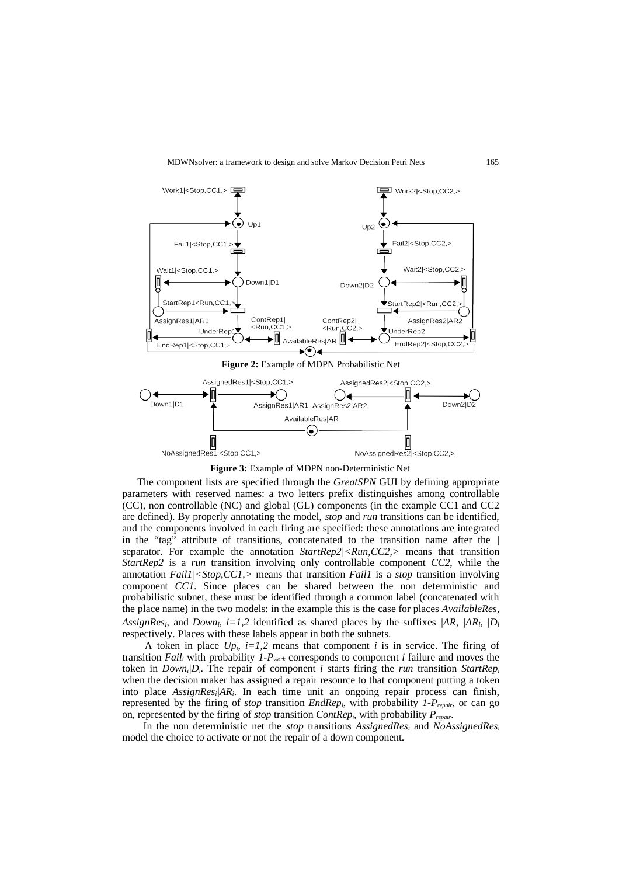

**Figure 3:** Example of MDPN non-Deterministic Net

 The component lists are specified through the *GreatSPN* GUI by defining appropriate parameters with reserved names: a two letters prefix distinguishes among controllable (CC), non controllable (NC) and global (GL) components (in the example CC1 and CC2 are defined). By properly annotating the model, *stop* and *run* transitions can be identified, and the components involved in each firing are specified: these annotations are integrated in the "tag" attribute of transitions, concatenated to the transition name after the *|* separator. For example the annotation *StartRep2|<Run,CC2,>* means that transition *StartRep2* is a *run* transition involving only controllable component *CC2*, while the annotation *Fail1|<Stop,CC1,>* means that transition *Fail1* is a *stop* transition involving component *CC1*. Since places can be shared between the non deterministic and probabilistic subnet, these must be identified through a common label (concatenated with the place name) in the two models: in the example this is the case for places *AvailableRes*, *AssignResi*, and *Downi*, *i=1,2* identified as shared places by the suffixes *|AR*, *|ARi*, *|D<sup>i</sup>* respectively. Places with these labels appear in both the subnets.

A token in place  $Up_i$ ,  $i=1,2$  means that component  $i$  is in service. The firing of transition *Faili* with probability *1-Pwork* corresponds to component *i* failure and moves the token in *Down<sub>i</sub>* $D_i$ . The repair of component *i* starts firing the *run* transition *StartRep<sub>i</sub>* when the decision maker has assigned a repair resource to that component putting a token into place *AssignResi|ARi*. In each time unit an ongoing repair process can finish, represented by the firing of *stop* transition *EndRepi*, with probability *1-Prepair*, or can go on, represented by the firing of *stop* transition *ContRepi*, with probability *Prepair*.

 In the non deterministic net the *stop* transitions *AssignedResi* and *NoAssignedRes<sup>i</sup>* model the choice to activate or not the repair of a down component.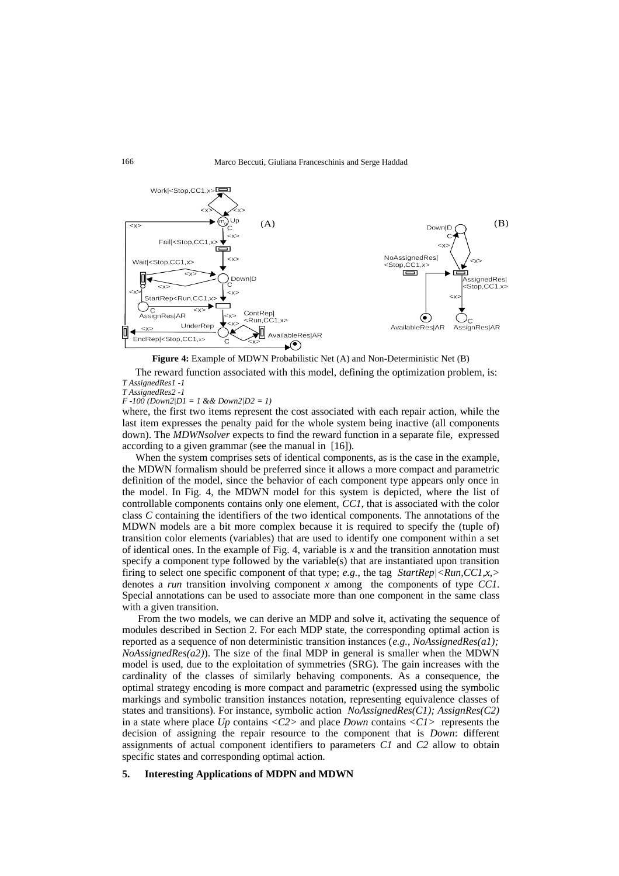

**Figure 4:** Example of MDWN Probabilistic Net (A) and Non-Deterministic Net (B)

 The reward function associated with this model, defining the optimization problem, is: *T AssignedRes1 -1*

*T AssignedRes2 -1*

*F -100 (Down2|D1 = 1 && Down2|D2 = 1)*

where, the first two items represent the cost associated with each repair action, while the last item expresses the penalty paid for the whole system being inactive (all components down). The *MDWNsolver* expects to find the reward function in a separate file, expressed according to a given grammar (see the manual in [16]).

 When the system comprises sets of identical components, as is the case in the example, the MDWN formalism should be preferred since it allows a more compact and parametric definition of the model, since the behavior of each component type appears only once in the model. In Fig. 4, the MDWN model for this system is depicted, where the list of controllable components contains only one element, *CC1*, that is associated with the color class *C* containing the identifiers of the two identical components. The annotations of the MDWN models are a bit more complex because it is required to specify the (tuple of) transition color elements (variables) that are used to identify one component within a set of identical ones. In the example of Fig. 4, variable is *x* and the transition annotation must specify a component type followed by the variable(s) that are instantiated upon transition firing to select one specific component of that type; *e.g.*, the tag *StartRep|<Run,CC1,x,>* denotes a *run* transition involving component *x* among the components of type *CC1*. Special annotations can be used to associate more than one component in the same class with a given transition.

 From the two models, we can derive an MDP and solve it, activating the sequence of modules described in Section 2. For each MDP state, the corresponding optimal action is reported as a sequence of non deterministic transition instances (*e.g., NoAssignedRes(a1); NoAssignedRes(a2)*). The size of the final MDP in general is smaller when the MDWN model is used, due to the exploitation of symmetries (SRG). The gain increases with the cardinality of the classes of similarly behaving components. As a consequence, the optimal strategy encoding is more compact and parametric (expressed using the symbolic markings and symbolic transition instances notation, representing equivalence classes of states and transitions). For instance, symbolic action *NoAssignedRes(C1); AssignRes(C2)* in a state where place *Up* contains *<C2>* and place *Down* contains *<C1>* represents the decision of assigning the repair resource to the component that is *Down*: different assignments of actual component identifiers to parameters *C1* and *C2* allow to obtain specific states and corresponding optimal action.

## **5. Interesting Applications of MDPN and MDWN**

166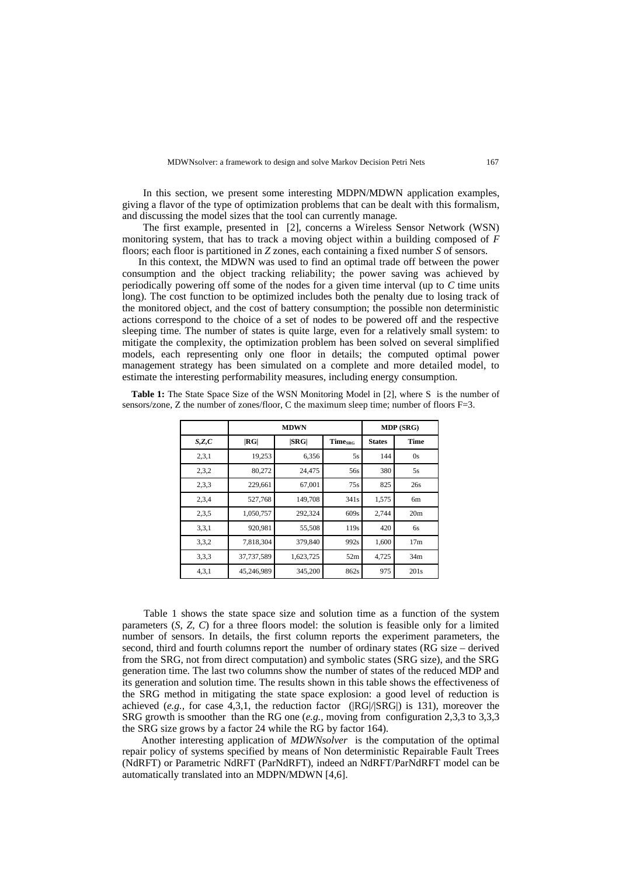In this section, we present some interesting MDPN/MDWN application examples, giving a flavor of the type of optimization problems that can be dealt with this formalism, and discussing the model sizes that the tool can currently manage.

 The first example, presented in [2], concerns a Wireless Sensor Network (WSN) monitoring system, that has to track a moving object within a building composed of *F* floors; each floor is partitioned in *Z* zones, each containing a fixed number *S* of sensors.

 In this context, the MDWN was used to find an optimal trade off between the power consumption and the object tracking reliability; the power saving was achieved by periodically powering off some of the nodes for a given time interval (up to *C* time units long). The cost function to be optimized includes both the penalty due to losing track of the monitored object, and the cost of battery consumption; the possible non deterministic actions correspond to the choice of a set of nodes to be powered off and the respective sleeping time. The number of states is quite large, even for a relatively small system: to mitigate the complexity, the optimization problem has been solved on several simplified models, each representing only one floor in details; the computed optimal power management strategy has been simulated on a complete and more detailed model, to estimate the interesting performability measures, including energy consumption.

 **Table 1:** The State Space Size of the WSN Monitoring Model in [2], where S is the number of sensors/zone, Z the number of zones/floor, C the maximum sleep time; number of floors F=3.

|       |            | <b>MDWN</b> | MDP (SRG)                  |               |                 |
|-------|------------|-------------|----------------------------|---------------|-----------------|
| S,Z,C | RG         | SRG         | <b>Time</b> <sub>SRG</sub> | <b>States</b> | Time            |
| 2,3,1 | 19,253     | 6,356       | 5s                         | 144           | 0s              |
| 2,3,2 | 80,272     | 24,475      | 56s                        | 380           | 5s              |
| 2,3,3 | 229,661    | 67,001      | 75s                        | 825           | 26s             |
| 2,3,4 | 527,768    | 149,708     | 341s                       | 1,575         | 6 <sub>m</sub>  |
| 2,3,5 | 1,050,757  | 292,324     | 609s                       | 2,744         | 20 <sub>m</sub> |
| 3,3,1 | 920,981    | 55,508      | 119s                       | 420           | 6s              |
| 3,3,2 | 7,818,304  | 379,840     | 992s                       | 1,600         | 17 <sub>m</sub> |
| 3,3,3 | 37,737,589 | 1,623,725   | 52m                        | 4,725         | 34 <sub>m</sub> |
| 4,3,1 | 45,246,989 | 345,200     | 862s                       | 975           | 201s            |

 Table 1 shows the state space size and solution time as a function of the system parameters (*S, Z, C*) for a three floors model: the solution is feasible only for a limited number of sensors. In details, the first column reports the experiment parameters, the second, third and fourth columns report the number of ordinary states (RG size – derived from the SRG, not from direct computation) and symbolic states (SRG size), and the SRG generation time. The last two columns show the number of states of the reduced MDP and its generation and solution time. The results shown in this table shows the effectiveness of the SRG method in mitigating the state space explosion: a good level of reduction is achieved (*e.g.*, for case  $\overline{4}$ ,3,1, the reduction factor ( $|RG|/|SRG|$ ) is 131), moreover the SRG growth is smoother than the RG one (*e.g.,* moving from configuration 2,3,3 to 3,3,3 the SRG size grows by a factor 24 while the RG by factor 164).

 Another interesting application of *MDWNsolver* is the computation of the optimal repair policy of systems specified by means of Non deterministic Repairable Fault Trees (NdRFT) or Parametric NdRFT (ParNdRFT), indeed an NdRFT/ParNdRFT model can be automatically translated into an MDPN/MDWN [4,6].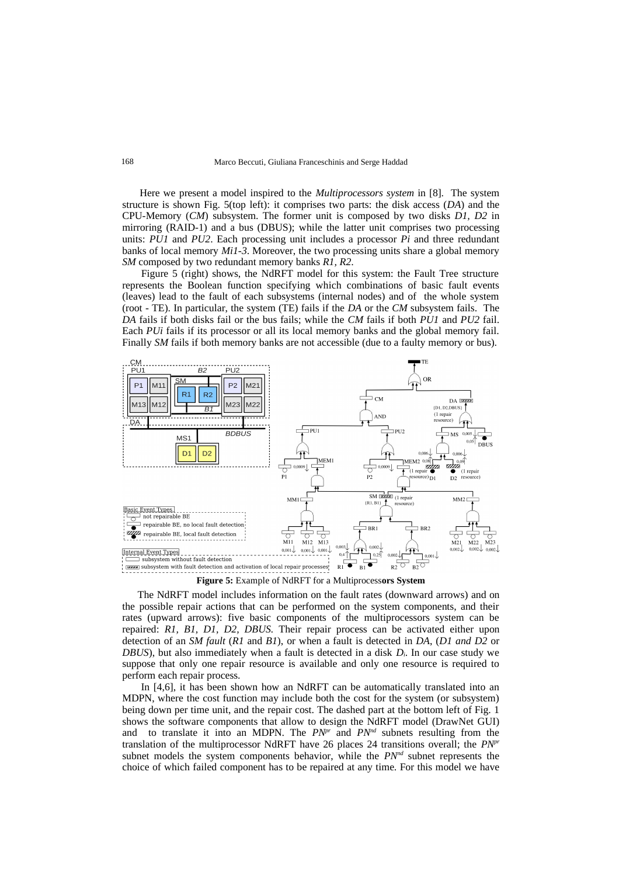Here we present a model inspired to the *Multiprocessors system* in [8]. The system structure is shown Fig. 5(top left): it comprises two parts: the disk access (*DA*) and the CPU-Memory (*CM*) subsystem. The former unit is composed by two disks *D1, D2* in mirroring (RAID-1) and a bus (DBUS); while the latter unit comprises two processing units: *PU1* and *PU2*. Each processing unit includes a processor *Pi* and three redundant banks of local memory *Mi1*-*3*. Moreover, the two processing units share a global memory *SM* composed by two redundant memory banks *R1, R2*.

 Figure 5 (right) shows, the NdRFT model for this system: the Fault Tree structure represents the Boolean function specifying which combinations of basic fault events (leaves) lead to the fault of each subsystems (internal nodes) and of the whole system (root - TE). In particular, the system (TE) fails if the *DA* or the *CM* subsystem fails. The *DA* fails if both disks fail or the bus fails; while the *CM* fails if both *PU1* and *PU2* fail. Each *PUi* fails if its processor or all its local memory banks and the global memory fail. Finally *SM* fails if both memory banks are not accessible (due to a faulty memory or bus).



**Figure 5:** Example of NdRFT for a Multiprocess**ors System**

 The NdRFT model includes information on the fault rates (downward arrows) and on the possible repair actions that can be performed on the system components, and their rates (upward arrows): five basic components of the multiprocessors system can be repaired: *R1, B1, D1, D2, DBUS.* Their repair process can be activated either upon detection of an *SM fault* (*R1* and *B1*), or when a fault is detected in *DA*, (*D1 and D2* or *DBUS*), but also immediately when a fault is detected in a disk *Di*. In our case study we suppose that only one repair resource is available and only one resource is required to perform each repair process.

 In [4,6], it has been shown how an NdRFT can be automatically translated into an MDPN, where the cost function may include both the cost for the system (or subsystem) being down per time unit, and the repair cost. The dashed part at the bottom left of Fig. 1 shows the software components that allow to design the NdRFT model (DrawNet GUI) and to translate it into an MDPN. The  $PN^{pr}$  and  $PN^{nd}$  subnets resulting from the translation of the multiprocessor NdRFT have 26 places 24 transitions overall; the *PNpr* subnet models the system components behavior, while the *PNnd* subnet represents the choice of which failed component has to be repaired at any time. For this model we have

168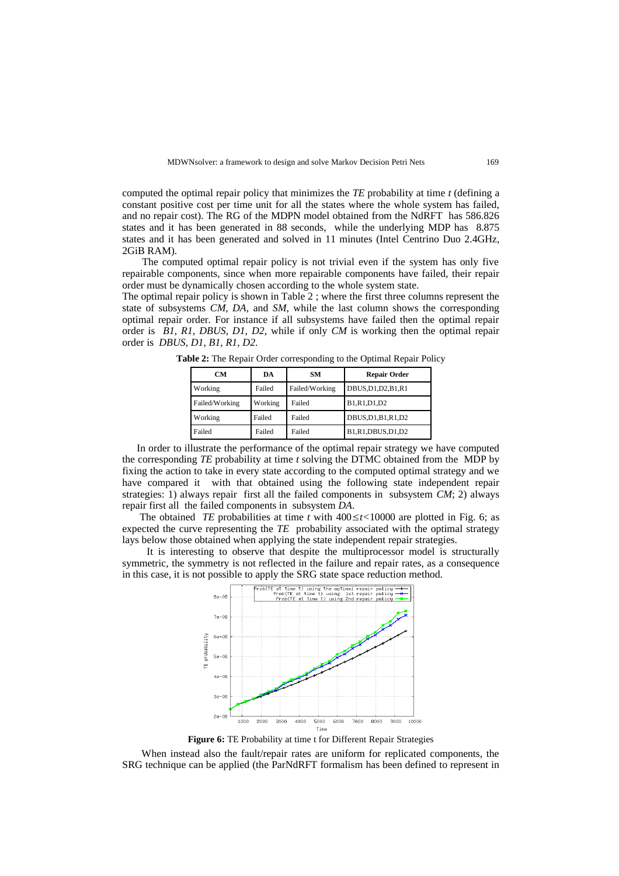computed the optimal repair policy that minimizes the *TE* probability at time *t* (defining a constant positive cost per time unit for all the states where the whole system has failed, and no repair cost). The RG of the MDPN model obtained from the NdRFT has 586.826 states and it has been generated in 88 seconds, while the underlying MDP has 8.875 states and it has been generated and solved in 11 minutes (Intel Centrino Duo 2.4GHz, 2GiB RAM).

 The computed optimal repair policy is not trivial even if the system has only five repairable components, since when more repairable components have failed, their repair order must be dynamically chosen according to the whole system state.

The optimal repair policy is shown in Table 2 ; where the first three columns represent the state of subsystems *CM, DA,* and *SM*, while the last column shows the corresponding optimal repair order. For instance if all subsystems have failed then the optimal repair order is *B1, R1, DBUS, D1, D2*, while if only *CM* is working then the optimal repair order is *DBUS, D1, B1, R1, D2*.

| <b>CM</b>      | DA      | <b>SM</b>      | <b>Repair Order</b>  |  |  |
|----------------|---------|----------------|----------------------|--|--|
| Working        | Failed  | Failed/Working | DBUS, D1, D2, B1, R1 |  |  |
| Failed/Working | Working | Failed         | B1,R1,D1,D2          |  |  |
| Working        | Failed  | Failed         | DBUS, D1, B1, R1, D2 |  |  |
| Failed         | Failed  | Failed         | B1,R1,DBUS,D1,D2     |  |  |

**Table 2:** The Repair Order corresponding to the Optimal Repair Policy

 In order to illustrate the performance of the optimal repair strategy we have computed the corresponding *TE* probability at time *t* solving the DTMC obtained from the MDP by fixing the action to take in every state according to the computed optimal strategy and we have compared it with that obtained using the following state independent repair strategies: 1) always repair first all the failed components in subsystem *CM*; 2) always repair first all the failed components in subsystem *DA*.

 The obtained *TE* probabilities at time *t* with 400≤*t<*10000 are plotted in Fig. 6; as expected the curve representing the *TE* probability associated with the optimal strategy lays below those obtained when applying the state independent repair strategies.

 It is interesting to observe that despite the multiprocessor model is structurally symmetric, the symmetry is not reflected in the failure and repair rates, as a consequence in this case, it is not possible to apply the SRG state space reduction method.



**Figure 6:** TE Probability at time t for Different Repair Strategies

 When instead also the fault/repair rates are uniform for replicated components, the SRG technique can be applied (the ParNdRFT formalism has been defined to represent in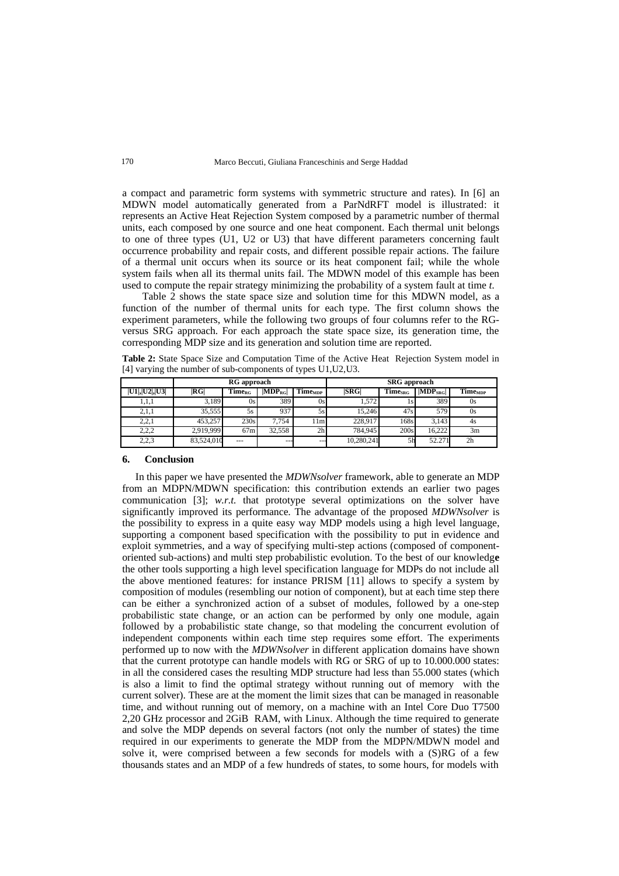a compact and parametric form systems with symmetric structure and rates). In [6] an MDWN model automatically generated from a ParNdRFT model is illustrated: it represents an Active Heat Rejection System composed by a parametric number of thermal units, each composed by one source and one heat component. Each thermal unit belongs to one of three types (U1, U2 or U3) that have different parameters concerning fault occurrence probability and repair costs, and different possible repair actions. The failure of a thermal unit occurs when its source or its heat component fail; while the whole system fails when all its thermal units fail. The MDWN model of this example has been used to compute the repair strategy minimizing the probability of a system fault at time *t*.

 Table 2 shows the state space size and solution time for this MDWN model, as a function of the number of thermal units for each type. The first column shows the experiment parameters, while the following two groups of four columns refer to the RGversus SRG approach. For each approach the state space size, its generation time, the corresponding MDP size and its generation and solution time are reported.

**Table 2:** State Space Size and Computation Time of the Active Heat Rejection System model in [4] varying the number of sub-components of types U1,U2,U3.

|                | RG approach |                                                 |              |                            | <b>SRG</b> approach |                             |               |                            |
|----------------|-------------|-------------------------------------------------|--------------|----------------------------|---------------------|-----------------------------|---------------|----------------------------|
| U1 ,  U2 ,  U3 | RG          | $\mathbf{Time}_{\scriptscriptstyle\mathrm{RG}}$ | $ MDP_{RG} $ | <b>Time</b> <sub>MDP</sub> | ISRGI               | <b>Time</b> s <sub>RG</sub> | $ MDP_{SRG} $ | <b>Time</b> <sub>MDP</sub> |
| 1,1,1          | 3.189       | 0s                                              | 389          | 0s                         | 1,572               | 1s                          | 389           | 0s                         |
| 2,1,1          | 35.555      | 5s                                              | 937          | 5s                         | 15.246              | 47s                         | 579           | 0s                         |
| 2,2,1          | 453.257     | 230s                                            | 7,754        | 11ml                       | 228.917             | 168s                        | 3.143         | 4s                         |
| 2,2,2          | 2,919,999   | 67m                                             | 32.558       | 2 <sub>h</sub>             | 784.945             | 200s                        | 16.222        | 3 <sub>m</sub>             |
| 2,2,3          | 83,524,010  | $---$                                           | $- -$        | ---                        | 10,280,241          | 5h                          | 52.271        | 2h                         |

#### **6. Conclusion**

 In this paper we have presented the *MDWNsolver* framework, able to generate an MDP from an MDPN/MDWN specification: this contribution extends an earlier two pages communication [3]; *w.r.t.* that prototype several optimizations on the solver have significantly improved its performance. The advantage of the proposed *MDWNsolver* is the possibility to express in a quite easy way MDP models using a high level language, supporting a component based specification with the possibility to put in evidence and exploit symmetries, and a way of specifying multi-step actions (composed of componentoriented sub-actions) and multi step probabilistic evolution. To the best of our knowledg**e** the other tools supporting a high level specification language for MDPs do not include all the above mentioned features: for instance PRISM [11] allows to specify a system by composition of modules (resembling our notion of component), but at each time step there can be either a synchronized action of a subset of modules, followed by a one-step probabilistic state change, or an action can be performed by only one module, again followed by a probabilistic state change, so that modeling the concurrent evolution of independent components within each time step requires some effort. The experiments performed up to now with the *MDWNsolver* in different application domains have shown that the current prototype can handle models with RG or SRG of up to 10.000.000 states: in all the considered cases the resulting MDP structure had less than 55.000 states (which is also a limit to find the optimal strategy without running out of memory with the current solver). These are at the moment the limit sizes that can be managed in reasonable time, and without running out of memory, on a machine with an Intel Core Duo T7500 2,20 GHz processor and 2GiB RAM, with Linux. Although the time required to generate and solve the MDP depends on several factors (not only the number of states) the time required in our experiments to generate the MDP from the MDPN/MDWN model and solve it, were comprised between a few seconds for models with a (S)RG of a few thousands states and an MDP of a few hundreds of states, to some hours, for models with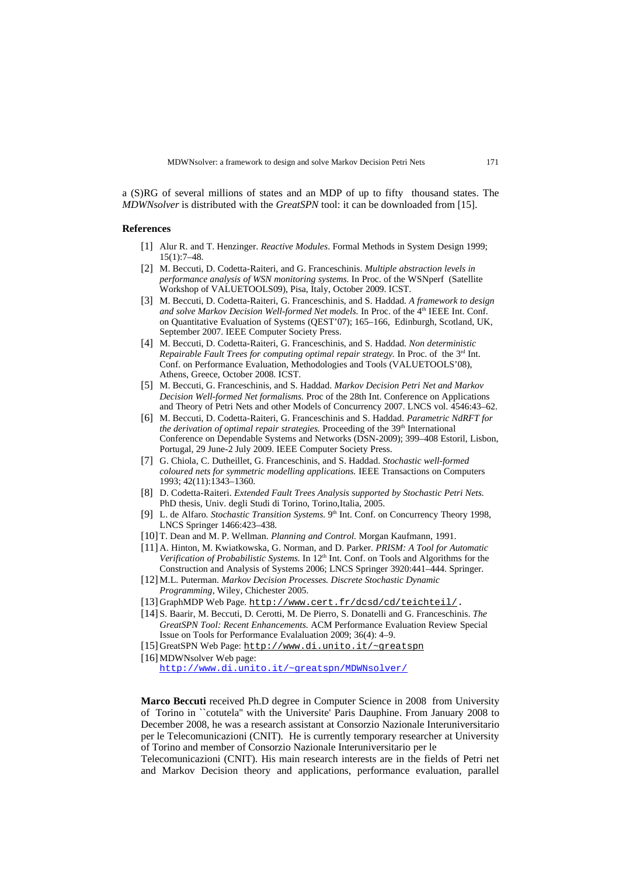a (S)RG of several millions of states and an MDP of up to fifty thousand states. The *MDWNsolver* is distributed with the *GreatSPN* tool: it can be downloaded from [15].

## **References**

- [1] Alur R. and T. Henzinger. *Reactive Modules*. Formal Methods in System Design 1999; 15(1):7–48.
- [2] M. Beccuti, D. Codetta-Raiteri, and G. Franceschinis. *Multiple abstraction levels in performance analysis of WSN monitoring systems.* In Proc. of the WSNperf (Satellite Workshop of VALUETOOLS09), Pisa, Italy, October 2009. ICST.
- [3] M. Beccuti, D. Codetta-Raiteri, G. Franceschinis, and S. Haddad*. A framework to design* and solve Markov Decision Well-formed Net models. In Proc. of the 4<sup>th</sup> IEEE Int. Conf. on Quantitative Evaluation of Systems (QEST'07); 165–166, Edinburgh, Scotland, UK, September 2007. IEEE Computer Society Press.
- [4] M. Beccuti, D. Codetta-Raiteri, G. Franceschinis, and S. Haddad*. Non deterministic Repairable Fault Trees for computing optimal repair strategy.* In Proc. of the 3<sup>rd</sup> Int. Conf. on Performance Evaluation, Methodologies and Tools (VALUETOOLS'08), Athens, Greece, October 2008. ICST.
- [5] M. Beccuti, G. Franceschinis, and S. Haddad. *Markov Decision Petri Net and Markov Decision Well-formed Net formalisms.* Proc of the 28th Int. Conference on Applications and Theory of Petri Nets and other Models of Concurrency 2007. LNCS vol. 4546:43–62.
- [6] M. Beccuti, D. Codetta-Raiteri, G. Franceschinis and S. Haddad. *Parametric NdRFT for the derivation of optimal repair strategies.* Proceeding of the 39<sup>th</sup> International Conference on Dependable Systems and Networks (DSN-2009); 399–408 Estoril, Lisbon, Portugal, 29 June-2 July 2009. IEEE Computer Society Press.
- [7] G. Chiola, C. Dutheillet, G. Franceschinis, and S. Haddad. *Stochastic well-formed coloured nets for symmetric modelling applications.* IEEE Transactions on Computers 1993; 42(11):1343–1360.
- [8] D. Codetta-Raiteri. *Extended Fault Trees Analysis supported by Stochastic Petri Nets.* PhD thesis, Univ. degli Studi di Torino, Torino, Italia, 2005.
- [9] L. de Alfaro. Stochastic Transition Systems. 9<sup>th</sup> Int. Conf. on Concurrency Theory 1998, LNCS Springer 1466:423–438.
- [10] T. Dean and M. P. Wellman. *Planning and Control.* Morgan Kaufmann, 1991.
- [11] A. Hinton, M. Kwiatkowska, G. Norman, and D. Parker*. PRISM: A Tool for Automatic Verification of Probabilistic Systems.* In 12<sup>th</sup> Int. Conf. on Tools and Algorithms for the Construction and Analysis of Systems 2006; LNCS Springer 3920:441–444. Springer.
- [12] M.L. Puterman. *Markov Decision Processes. Discrete Stochastic Dynamic Programming*, Wiley, Chichester 2005.
- [13] GraphMDP Web Page. [http://www.cert.fr/dcsd/cd/teichteil/.](http://www.cert.fr/dcsd/cd/teichteil/)
- [14] S. Baarir, M. Beccuti, D. Cerotti, M. De Pierro, S. Donatelli and G. Franceschinis. *The GreatSPN Tool: Recent Enhancements.* ACM Performance Evaluation Review Special Issue on Tools for Performance Evalaluation 2009; 36(4): 4–9.
- [15] GreatSPN Web Page: <http://www.di.unito.it/~greatspn>
- [16] MDWNsolver Web page:

<http://www.di.unito.it/~greatspn/MDWNsolver/>

**Marco Beccuti** received Ph.D degree in Computer Science in 2008 from University of Torino in ``cotutela'' with the Universite' Paris Dauphine. From January 2008 to December 2008, he was a research assistant at Consorzio Nazionale Interuniversitario per le Telecomunicazioni (CNIT). He is currently temporary researcher at University of Torino and member of Consorzio Nazionale Interuniversitario per le

Telecomunicazioni (CNIT). His main research interests are in the fields of Petri net and Markov Decision theory and applications, performance evaluation, parallel